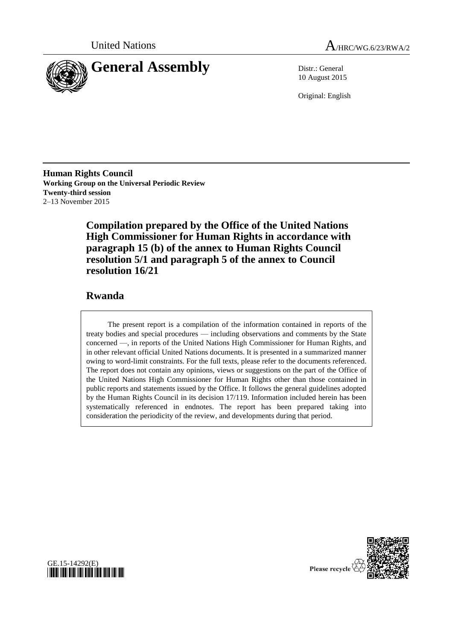



10 August 2015

Original: English

**Human Rights Council Working Group on the Universal Periodic Review Twenty-third session** 2–13 November 2015

> **Compilation prepared by the Office of the United Nations High Commissioner for Human Rights in accordance with paragraph 15 (b) of the annex to Human Rights Council resolution 5/1 and paragraph 5 of the annex to Council resolution 16/21**

# **Rwanda**

GE.15-14292(E)

*\*1514292\**

The present report is a compilation of the information contained in reports of the treaty bodies and special procedures — including observations and comments by the State concerned —, in reports of the United Nations High Commissioner for Human Rights, and in other relevant official United Nations documents. It is presented in a summarized manner owing to word-limit constraints. For the full texts, please refer to the documents referenced. The report does not contain any opinions, views or suggestions on the part of the Office of the United Nations High Commissioner for Human Rights other than those contained in public reports and statements issued by the Office. It follows the general guidelines adopted by the Human Rights Council in its decision 17/119. Information included herein has been systematically referenced in endnotes. The report has been prepared taking into consideration the periodicity of the review, and developments during that period.

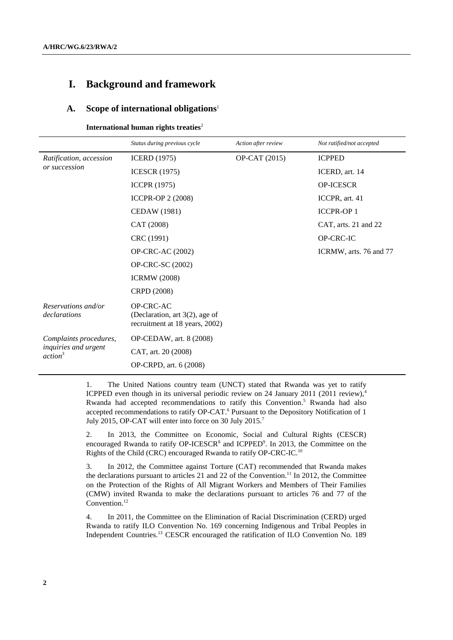# **I. Background and framework**

#### **A. Scope of international obligations**<sup>1</sup>

**International human rights treaties**<sup>2</sup>

|                                             | Status during previous cycle                                                     | Action after review | Not ratified/not accepted |
|---------------------------------------------|----------------------------------------------------------------------------------|---------------------|---------------------------|
| Ratification, accession                     | <b>ICERD</b> (1975)                                                              | OP-CAT (2015)       | <b>ICPPED</b>             |
| or succession                               | <b>ICESCR</b> (1975)                                                             |                     | ICERD, art. 14            |
|                                             | <b>ICCPR</b> (1975)                                                              |                     | OP-ICESCR                 |
|                                             | <b>ICCPR-OP 2 (2008)</b>                                                         |                     | ICCPR, art. 41            |
|                                             | CEDAW (1981)                                                                     |                     | <b>ICCPR-OP1</b>          |
|                                             | CAT (2008)                                                                       |                     | CAT, arts. 21 and 22      |
|                                             | CRC (1991)                                                                       |                     | OP-CRC-IC                 |
|                                             | <b>OP-CRC-AC (2002)</b>                                                          |                     | ICRMW, arts. 76 and 77    |
|                                             | OP-CRC-SC (2002)                                                                 |                     |                           |
|                                             | <b>ICRMW</b> (2008)                                                              |                     |                           |
|                                             | CRPD (2008)                                                                      |                     |                           |
| Reservations and/or<br>declarations         | OP-CRC-AC<br>(Declaration, art $3(2)$ , age of<br>recruitment at 18 years, 2002) |                     |                           |
| Complaints procedures,                      | OP-CEDAW, art. 8 (2008)                                                          |                     |                           |
| inquiries and urgent<br>action <sup>3</sup> | CAT, art. 20 (2008)                                                              |                     |                           |
|                                             | OP-CRPD, art. 6 (2008)                                                           |                     |                           |

1. The United Nations country team (UNCT) stated that Rwanda was yet to ratify ICPPED even though in its universal periodic review on 24 January 2011 (2011 review), 4 Rwanda had accepted recommendations to ratify this Convention. <sup>5</sup> Rwanda had also accepted recommendations to ratify OP-CAT.<sup>6</sup> Pursuant to the Depository Notification of 1 July 2015, OP-CAT will enter into force on 30 July 2015.<sup>7</sup>

2. In 2013, the Committee on Economic, Social and Cultural Rights (CESCR) encouraged Rwanda to ratify OP-ICESCR<sup>8</sup> and ICPPED<sup>9</sup>. In 2013, the Committee on the Rights of the Child (CRC) encouraged Rwanda to ratify OP-CRC-IC.<sup>10</sup>

3. In 2012, the Committee against Torture (CAT) recommended that Rwanda makes the declarations pursuant to articles 21 and 22 of the Convention. <sup>11</sup> In 2012, the Committee on the Protection of the Rights of All Migrant Workers and Members of Their Families (CMW) invited Rwanda to make the declarations pursuant to articles 76 and 77 of the Convention.<sup>12</sup>

4. In 2011, the Committee on the Elimination of Racial Discrimination (CERD) urged Rwanda to ratify ILO Convention No. 169 concerning Indigenous and Tribal Peoples in Independent Countries.<sup>13</sup> CESCR encouraged the ratification of ILO Convention No. 189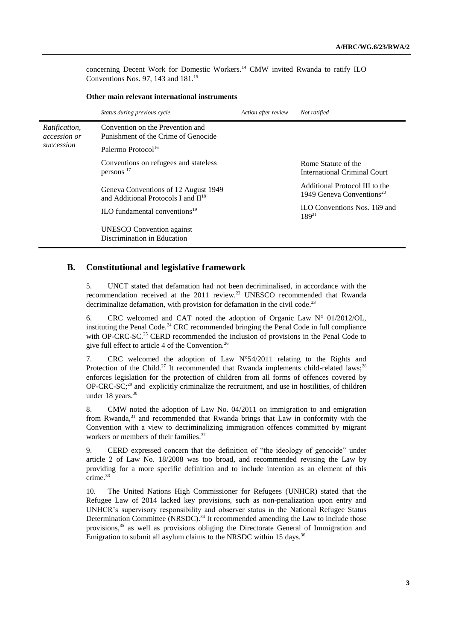concerning Decent Work for Domestic Workers.<sup>14</sup> CMW invited Rwanda to ratify ILO Conventions Nos. 97, 143 and 181.<sup>15</sup>

|                                      | Status during previous cycle                                                      | Action after review | Not ratified                                                            |
|--------------------------------------|-----------------------------------------------------------------------------------|---------------------|-------------------------------------------------------------------------|
| Ratification,<br><i>accession or</i> | Convention on the Prevention and<br>Punishment of the Crime of Genocide           |                     |                                                                         |
| succession                           | Palermo Protocol <sup>16</sup>                                                    |                     |                                                                         |
|                                      | Conventions on refugees and stateless<br>persons $17$                             |                     | Rome Statute of the<br>International Criminal Court                     |
|                                      | Geneva Conventions of 12 August 1949<br>and Additional Protocols I and $\Pi^{18}$ |                     | Additional Protocol III to the<br>1949 Geneva Conventions <sup>20</sup> |
|                                      | ILO fundamental conventions $19$                                                  |                     | <b>ILO Conventions Nos. 169 and</b><br>$189^{21}$                       |
|                                      | <b>UNESCO</b> Convention against<br>Discrimination in Education                   |                     |                                                                         |

#### **Other main relevant international instruments**

## **B. Constitutional and legislative framework**

5. UNCT stated that defamation had not been decriminalised, in accordance with the recommendation received at the 2011 review.<sup>22</sup> UNESCO recommended that Rwanda decriminalize defamation, with provision for defamation in the civil code.<sup>23</sup>

6. CRC welcomed and CAT noted the adoption of Organic Law  $N^{\circ}$  01/2012/OL, instituting the Penal Code.<sup>24</sup> CRC recommended bringing the Penal Code in full compliance with OP-CRC-SC.<sup>25</sup> CERD recommended the inclusion of provisions in the Penal Code to give full effect to article 4 of the Convention.<sup>26</sup>

7. CRC welcomed the adoption of Law N°54/2011 relating to the Rights and Protection of the Child.<sup>27</sup> It recommended that Rwanda implements child-related laws;<sup>28</sup> enforces legislation for the protection of children from all forms of offences covered by  $OP-CRC-SC;^{29}$  and explicitly criminalize the recruitment, and use in hostilities, of children under 18 years. 30

8. CMW noted the adoption of Law No. 04/2011 on immigration to and emigration from Rwanda,<sup>31</sup> and recommended that Rwanda brings that Law in conformity with the Convention with a view to decriminalizing immigration offences committed by migrant workers or members of their families.<sup>32</sup>

9. CERD expressed concern that the definition of "the ideology of genocide" under article 2 of Law No. 18/2008 was too broad, and recommended revising the Law by providing for a more specific definition and to include intention as an element of this crime.<sup>33</sup>

10. The United Nations High Commissioner for Refugees (UNHCR) stated that the Refugee Law of 2014 lacked key provisions, such as non-penalization upon entry and UNHCR's supervisory responsibility and observer status in the National Refugee Status Determination Committee (NRSDC).<sup>34</sup> It recommended amending the Law to include those provisions,<sup>35</sup> as well as provisions obliging the Directorate General of Immigration and Emigration to submit all asylum claims to the NRSDC within 15 days.<sup>36</sup>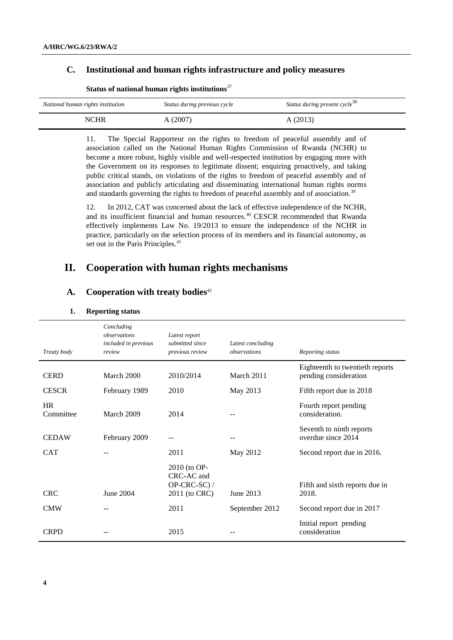## **C. Institutional and human rights infrastructure and policy measures**

| National human rights institution | Status during previous cycle | Status during present cycle <sup>38</sup> |
|-----------------------------------|------------------------------|-------------------------------------------|
| NCHR                              | A (2007)                     | A(2013)                                   |

## **Status of national human rights institutions**<sup>37</sup>

11. The Special Rapporteur on the rights to freedom of peaceful assembly and of association called on the National Human Rights Commission of Rwanda (NCHR) to become a more robust, highly visible and well-respected institution by engaging more with the Government on its responses to legitimate dissent; enquiring proactively, and taking public critical stands, on violations of the rights to freedom of peaceful assembly and of association and publicly articulating and disseminating international human rights norms and standards governing the rights to freedom of peaceful assembly and of association.<sup>39</sup>

12. In 2012, CAT was concerned about the lack of effective independence of the NCHR, and its insufficient financial and human resources.<sup>40</sup> CESCR recommended that Rwanda effectively implements Law No. 19/2013 to ensure the independence of the NCHR in practice, particularly on the selection process of its members and its financial autonomy, as set out in the Paris Principles.<sup>41</sup>

# **II. Cooperation with human rights mechanisms**

### **A. Cooperation with treaty bodies**<sup>42</sup>

#### **1. Reporting status**

| Treaty body            | Concluding<br>observations<br><i>included in previous</i><br>review | Latest report<br>submitted since<br>previous review         | Latest concluding<br>observations | Reporting status                                         |
|------------------------|---------------------------------------------------------------------|-------------------------------------------------------------|-----------------------------------|----------------------------------------------------------|
| <b>CERD</b>            | March 2000                                                          | 2010/2014                                                   | March 2011                        | Eighteenth to twentieth reports<br>pending consideration |
| <b>CESCR</b>           | February 1989                                                       | 2010                                                        | May 2013                          | Fifth report due in 2018                                 |
| <b>HR</b><br>Committee | March 2009                                                          | 2014                                                        |                                   | Fourth report pending<br>consideration.                  |
| <b>CEDAW</b>           | February 2009                                                       | --                                                          | --                                | Seventh to ninth reports<br>overdue since 2014           |
| <b>CAT</b>             |                                                                     | 2011                                                        | May 2012                          | Second report due in 2016.                               |
| <b>CRC</b>             | June 2004                                                           | 2010 (to OP-<br>CRC-AC and<br>OP-CRC-SC) /<br>2011 (to CRC) | June 2013                         | Fifth and sixth reports due in<br>2018.                  |
| <b>CMW</b>             |                                                                     | 2011                                                        | September 2012                    | Second report due in 2017                                |
| <b>CRPD</b>            |                                                                     | 2015                                                        |                                   | Initial report pending<br>consideration                  |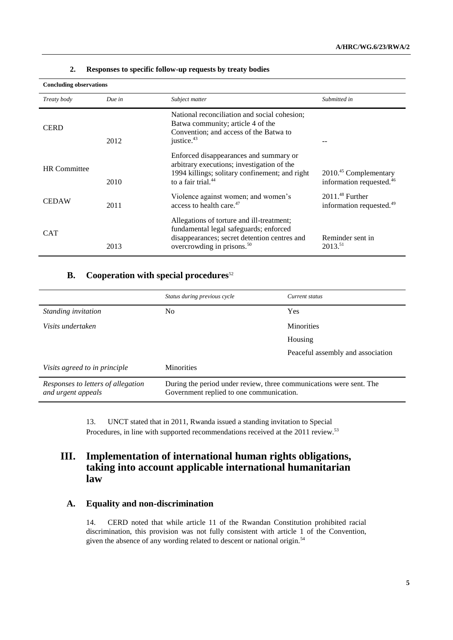| <b>Concluding observations</b> |        |                                                                                                                                                                               |                                                                 |
|--------------------------------|--------|-------------------------------------------------------------------------------------------------------------------------------------------------------------------------------|-----------------------------------------------------------------|
| Treaty body                    | Due in | Subject matter                                                                                                                                                                | Submitted in                                                    |
| <b>CERD</b>                    | 2012   | National reconciliation and social cohesion;<br>Batwa community; article 4 of the<br>Convention; and access of the Batwa to<br>justice. <sup>43</sup>                         |                                                                 |
| <b>HR</b> Committee            | 2010   | Enforced disappearances and summary or<br>arbitrary executions; investigation of the<br>1994 killings; solitary confinement; and right<br>to a fair trial. <sup>44</sup>      | $2010.45$ Complementary<br>information requested. <sup>46</sup> |
| <b>CEDAW</b>                   | 2011   | Violence against women; and women's<br>access to health care. <sup>47</sup>                                                                                                   | $2011.^{48}$ Further<br>information requested. <sup>49</sup>    |
| <b>CAT</b>                     | 2013   | Allegations of torture and ill-treatment;<br>fundamental legal safeguards; enforced<br>disappearances; secret detention centres and<br>overcrowding in prisons. <sup>50</sup> | Reminder sent in<br>$2013.^{51}$                                |

#### **2. Responses to specific follow-up requests by treaty bodies**

# **B.** Cooperation with special procedures<sup>52</sup>

|                                                          | Status during previous cycle                                                                                    | Current status                    |
|----------------------------------------------------------|-----------------------------------------------------------------------------------------------------------------|-----------------------------------|
| Standing invitation                                      | No.                                                                                                             | Yes                               |
| Visits undertaken                                        |                                                                                                                 | <b>Minorities</b>                 |
|                                                          |                                                                                                                 | Housing                           |
|                                                          |                                                                                                                 | Peaceful assembly and association |
| Visits agreed to in principle                            | <b>Minorities</b>                                                                                               |                                   |
| Responses to letters of allegation<br>and urgent appeals | During the period under review, three communications were sent. The<br>Government replied to one communication. |                                   |

13. UNCT stated that in 2011, Rwanda issued a standing invitation to Special Procedures, in line with supported recommendations received at the 2011 review.<sup>53</sup>

# **III. Implementation of international human rights obligations, taking into account applicable international humanitarian law**

# **A. Equality and non-discrimination**

14. CERD noted that while article 11 of the Rwandan Constitution prohibited racial discrimination, this provision was not fully consistent with article 1 of the Convention, given the absence of any wording related to descent or national origin.<sup>54</sup>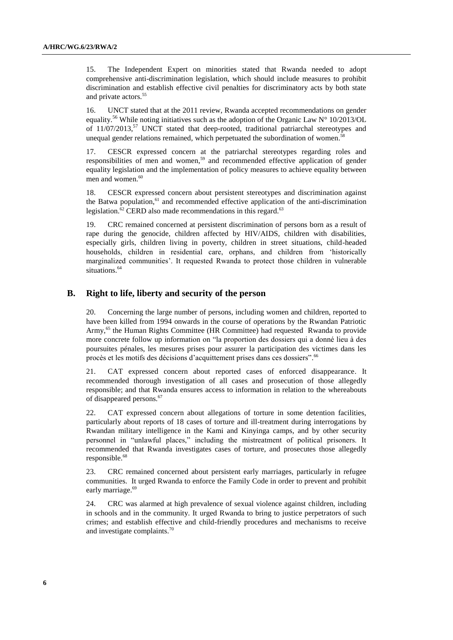15. The Independent Expert on minorities stated that Rwanda needed to adopt comprehensive anti-discrimination legislation, which should include measures to prohibit discrimination and establish effective civil penalties for discriminatory acts by both state and private actors.<sup>55</sup>

16. UNCT stated that at the 2011 review, Rwanda accepted recommendations on gender equality.<sup>56</sup> While noting initiatives such as the adoption of the Organic Law  $N^{\circ}$  10/2013/OL of 11/07/2013,<sup>57</sup> UNCT stated that deep-rooted, traditional patriarchal stereotypes and unequal gender relations remained, which perpetuated the subordination of women.<sup>58</sup>

17. CESCR expressed concern at the patriarchal stereotypes regarding roles and responsibilities of men and women, <sup>59</sup> and recommended effective application of gender equality legislation and the implementation of policy measures to achieve equality between men and women. 60

18. CESCR expressed concern about persistent stereotypes and discrimination against the Batwa population,<sup>61</sup> and recommended effective application of the anti-discrimination legislation.<sup>62</sup> CERD also made recommendations in this regard.<sup>63</sup>

19. CRC remained concerned at persistent discrimination of persons born as a result of rape during the genocide, children affected by HIV/AIDS, children with disabilities, especially girls, children living in poverty, children in street situations, child-headed households, children in residential care, orphans, and children from 'historically marginalized communities'. It requested Rwanda to protect those children in vulnerable situations.<sup>64</sup>

#### **B. Right to life, liberty and security of the person**

20. Concerning the large number of persons, including women and children, reported to have been killed from 1994 onwards in the course of operations by the Rwandan Patriotic Army,<sup>65</sup> the Human Rights Committee (HR Committee) had requested Rwanda to provide more concrete follow up information on "la proportion des dossiers qui a donné lieu à des poursuites pénales, les mesures prises pour assurer la participation des victimes dans les procès et les motifs des décisions d'acquittement prises dans ces dossiers". <sup>66</sup>

21. CAT expressed concern about reported cases of enforced disappearance. It recommended thorough investigation of all cases and prosecution of those allegedly responsible; and that Rwanda ensures access to information in relation to the whereabouts of disappeared persons. 67

22. CAT expressed concern about allegations of torture in some detention facilities, particularly about reports of 18 cases of torture and ill-treatment during interrogations by Rwandan military intelligence in the Kami and Kinyinga camps, and by other security personnel in "unlawful places," including the mistreatment of political prisoners. It recommended that Rwanda investigates cases of torture, and prosecutes those allegedly responsible. 68

23. CRC remained concerned about persistent early marriages, particularly in refugee communities. It urged Rwanda to enforce the Family Code in order to prevent and prohibit early marriage. 69

24. CRC was alarmed at high prevalence of sexual violence against children, including in schools and in the community. It urged Rwanda to bring to justice perpetrators of such crimes; and establish effective and child-friendly procedures and mechanisms to receive and investigate complaints.70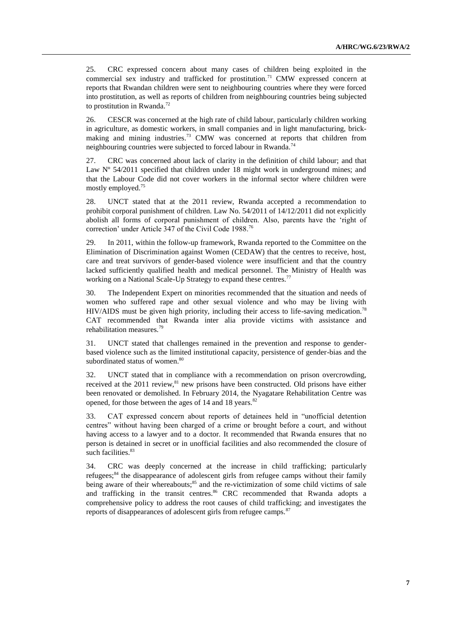25. CRC expressed concern about many cases of children being exploited in the commercial sex industry and trafficked for prostitution.<sup>71</sup> CMW expressed concern at reports that Rwandan children were sent to neighbouring countries where they were forced into prostitution, as well as reports of children from neighbouring countries being subjected to prostitution in Rwanda.<sup>72</sup>

26. CESCR was concerned at the high rate of child labour, particularly children working in agriculture, as domestic workers, in small companies and in light manufacturing, brickmaking and mining industries.<sup>73</sup> CMW was concerned at reports that children from neighbouring countries were subjected to forced labour in Rwanda.<sup>74</sup>

27. CRC was concerned about lack of clarity in the definition of child labour; and that Law N° 54/2011 specified that children under 18 might work in underground mines; and that the Labour Code did not cover workers in the informal sector where children were mostly employed.<sup>75</sup>

28. UNCT stated that at the 2011 review, Rwanda accepted a recommendation to prohibit corporal punishment of children. Law No. 54/2011 of 14/12/2011 did not explicitly abolish all forms of corporal punishment of children. Also, parents have the 'right of correction' under Article 347 of the Civil Code 1988.<sup>76</sup>

29. In 2011, within the follow-up framework, Rwanda reported to the Committee on the Elimination of Discrimination against Women (CEDAW) that the centres to receive, host, care and treat survivors of gender-based violence were insufficient and that the country lacked sufficiently qualified health and medical personnel. The Ministry of Health was working on a National Scale-Up Strategy to expand these centres.<sup>77</sup>

30. The Independent Expert on minorities recommended that the situation and needs of women who suffered rape and other sexual violence and who may be living with HIV/AIDS must be given high priority, including their access to life-saving medication.<sup>78</sup> CAT recommended that Rwanda inter alia provide victims with assistance and rehabilitation measures.<sup>79</sup>

31. UNCT stated that challenges remained in the prevention and response to genderbased violence such as the limited institutional capacity, persistence of gender-bias and the subordinated status of women.<sup>80</sup>

32. UNCT stated that in compliance with a recommendation on prison overcrowding, received at the 2011 review,<sup>81</sup> new prisons have been constructed. Old prisons have either been renovated or demolished. In February 2014, the Nyagatare Rehabilitation Centre was opened, for those between the ages of 14 and 18 years.<sup>82</sup>

33. CAT expressed concern about reports of detainees held in "unofficial detention centres" without having been charged of a crime or brought before a court, and without having access to a lawyer and to a doctor. It recommended that Rwanda ensures that no person is detained in secret or in unofficial facilities and also recommended the closure of such facilities. 83

34. CRC was deeply concerned at the increase in child trafficking; particularly refugees;<sup>84</sup> the disappearance of adolescent girls from refugee camps without their family being aware of their whereabouts;<sup>85</sup> and the re-victimization of some child victims of sale and trafficking in the transit centres.<sup>86</sup> CRC recommended that Rwanda adopts a comprehensive policy to address the root causes of child trafficking; and investigates the reports of disappearances of adolescent girls from refugee camps.<sup>87</sup>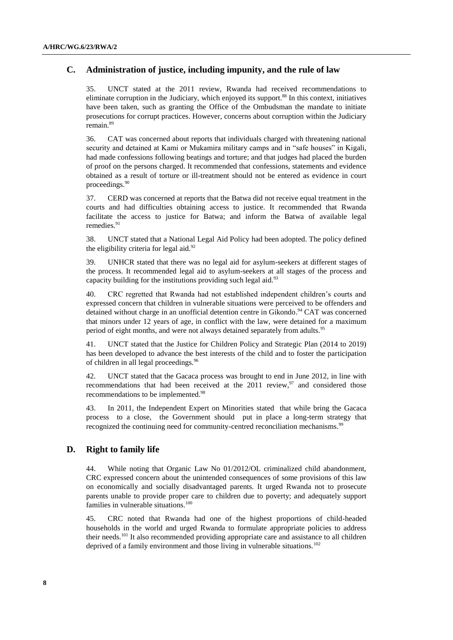# **C. Administration of justice, including impunity, and the rule of law**

35. UNCT stated at the 2011 review, Rwanda had received recommendations to eliminate corruption in the Judiciary, which enjoyed its support.<sup>88</sup> In this context, initiatives have been taken, such as granting the Office of the Ombudsman the mandate to initiate prosecutions for corrupt practices. However, concerns about corruption within the Judiciary remain.<sup>89</sup>

36. CAT was concerned about reports that individuals charged with threatening national security and detained at Kami or Mukamira military camps and in "safe houses" in Kigali, had made confessions following beatings and torture; and that judges had placed the burden of proof on the persons charged. It recommended that confessions, statements and evidence obtained as a result of torture or ill-treatment should not be entered as evidence in court proceedings.<sup>90</sup>

37. CERD was concerned at reports that the Batwa did not receive equal treatment in the courts and had difficulties obtaining access to justice. It recommended that Rwanda facilitate the access to justice for Batwa; and inform the Batwa of available legal remedies. 91

38. UNCT stated that a National Legal Aid Policy had been adopted. The policy defined the eligibility criteria for legal aid. $92$ 

39. UNHCR stated that there was no legal aid for asylum-seekers at different stages of the process. It recommended legal aid to asylum-seekers at all stages of the process and capacity building for the institutions providing such legal aid. $93$ 

40. CRC regretted that Rwanda had not established independent children's courts and expressed concern that children in vulnerable situations were perceived to be offenders and detained without charge in an unofficial detention centre in Gikondo.<sup>94</sup> CAT was concerned that minors under 12 years of age, in conflict with the law, were detained for a maximum period of eight months, and were not always detained separately from adults.<sup>95</sup>

41. UNCT stated that the Justice for Children Policy and Strategic Plan (2014 to 2019) has been developed to advance the best interests of the child and to foster the participation of children in all legal proceedings.<sup>96</sup>

42. UNCT stated that the Gacaca process was brought to end in June 2012, in line with recommendations that had been received at the  $2011$  review,  $97$  and considered those recommendations to be implemented.<sup>98</sup>

43. In 2011, the Independent Expert on Minorities stated that while bring the Gacaca process to a close, the Government should put in place a long-term strategy that recognized the continuing need for community-centred reconciliation mechanisms.<sup>99</sup>

## **D. Right to family life**

44. While noting that Organic Law No 01/2012/OL criminalized child abandonment, CRC expressed concern about the unintended consequences of some provisions of this law on economically and socially disadvantaged parents. It urged Rwanda not to prosecute parents unable to provide proper care to children due to poverty; and adequately support families in vulnerable situations.<sup>100</sup>

45. CRC noted that Rwanda had one of the highest proportions of child-headed households in the world and urged Rwanda to formulate appropriate policies to address their needs.<sup>101</sup> It also recommended providing appropriate care and assistance to all children deprived of a family environment and those living in vulnerable situations.<sup>102</sup>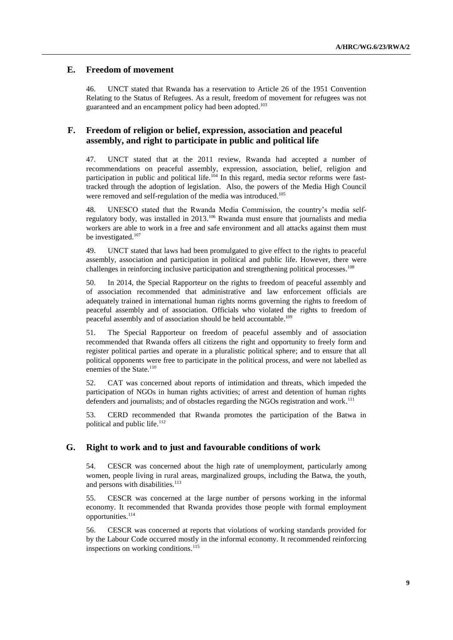## **E. Freedom of movement**

46. UNCT stated that Rwanda has a reservation to Article 26 of the 1951 Convention Relating to the Status of Refugees. As a result, freedom of movement for refugees was not guaranteed and an encampment policy had been adopted.<sup>103</sup>

## **F. Freedom of religion or belief, expression, association and peaceful assembly, and right to participate in public and political life**

47. UNCT stated that at the 2011 review, Rwanda had accepted a number of recommendations on peaceful assembly, expression, association, belief, religion and participation in public and political life.<sup>104</sup> In this regard, media sector reforms were fasttracked through the adoption of legislation. Also, the powers of the Media High Council were removed and self-regulation of the media was introduced.<sup>105</sup>

48. UNESCO stated that the Rwanda Media Commission, the country's media selfregulatory body, was installed in 2013.<sup>106</sup> Rwanda must ensure that journalists and media workers are able to work in a free and safe environment and all attacks against them must be investigated.<sup>107</sup>

49. UNCT stated that laws had been promulgated to give effect to the rights to peaceful assembly, association and participation in political and public life. However, there were challenges in reinforcing inclusive participation and strengthening political processes.<sup>108</sup>

50. In 2014, the Special Rapporteur on the rights to freedom of peaceful assembly and of association recommended that administrative and law enforcement officials are adequately trained in international human rights norms governing the rights to freedom of peaceful assembly and of association. Officials who violated the rights to freedom of peaceful assembly and of association should be held accountable.<sup>109</sup>

51. The Special Rapporteur on freedom of peaceful assembly and of association recommended that Rwanda offers all citizens the right and opportunity to freely form and register political parties and operate in a pluralistic political sphere; and to ensure that all political opponents were free to participate in the political process, and were not labelled as enemies of the State.<sup>110</sup>

52. CAT was concerned about reports of intimidation and threats, which impeded the participation of NGOs in human rights activities; of arrest and detention of human rights defenders and journalists; and of obstacles regarding the NGOs registration and work.<sup>111</sup>

53. CERD recommended that Rwanda promotes the participation of the Batwa in political and public life.<sup>112</sup>

## **G. Right to work and to just and favourable conditions of work**

54. CESCR was concerned about the high rate of unemployment, particularly among women, people living in rural areas, marginalized groups, including the Batwa, the youth, and persons with disabilities.<sup>113</sup>

55. CESCR was concerned at the large number of persons working in the informal economy. It recommended that Rwanda provides those people with formal employment opportunities.<sup>114</sup>

56. CESCR was concerned at reports that violations of working standards provided for by the Labour Code occurred mostly in the informal economy. It recommended reinforcing inspections on working conditions. 115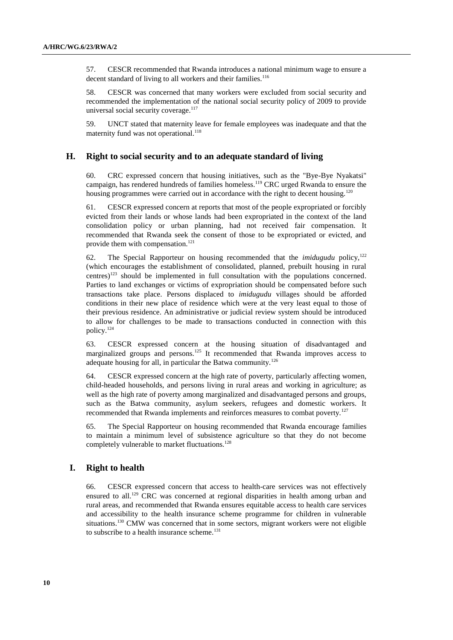57. CESCR recommended that Rwanda introduces a national minimum wage to ensure a decent standard of living to all workers and their families.<sup>116</sup>

58. CESCR was concerned that many workers were excluded from social security and recommended the implementation of the national social security policy of 2009 to provide universal social security coverage. $117$ 

59. UNCT stated that maternity leave for female employees was inadequate and that the maternity fund was not operational.<sup>118</sup>

## **H. Right to social security and to an adequate standard of living**

60. CRC expressed concern that housing initiatives, such as the "Bye-Bye Nyakatsi" campaign, has rendered hundreds of families homeless.<sup>119</sup> CRC urged Rwanda to ensure the housing programmes were carried out in accordance with the right to decent housing.<sup>120</sup>

61. CESCR expressed concern at reports that most of the people expropriated or forcibly evicted from their lands or whose lands had been expropriated in the context of the land consolidation policy or urban planning, had not received fair compensation. It recommended that Rwanda seek the consent of those to be expropriated or evicted, and provide them with compensation.<sup>121</sup>

62. The Special Rapporteur on housing recommended that the *imidugudu* policy, 122 (which encourages the establishment of consolidated, planned, prebuilt housing in rural centres)<sup>123</sup> should be implemented in full consultation with the populations concerned. Parties to land exchanges or victims of expropriation should be compensated before such transactions take place. Persons displaced to *imidugudu* villages should be afforded conditions in their new place of residence which were at the very least equal to those of their previous residence. An administrative or judicial review system should be introduced to allow for challenges to be made to transactions conducted in connection with this policy.<sup>124</sup>

63. CESCR expressed concern at the housing situation of disadvantaged and marginalized groups and persons.<sup>125</sup> It recommended that Rwanda improves access to adequate housing for all, in particular the Batwa community.<sup>126</sup>

64. CESCR expressed concern at the high rate of poverty, particularly affecting women, child-headed households, and persons living in rural areas and working in agriculture; as well as the high rate of poverty among marginalized and disadvantaged persons and groups, such as the Batwa community, asylum seekers, refugees and domestic workers. It recommended that Rwanda implements and reinforces measures to combat poverty.<sup>127</sup>

65. The Special Rapporteur on housing recommended that Rwanda encourage families to maintain a minimum level of subsistence agriculture so that they do not become completely vulnerable to market fluctuations.<sup>128</sup>

### **I. Right to health**

66. CESCR expressed concern that access to health-care services was not effectively ensured to all.<sup>129</sup> CRC was concerned at regional disparities in health among urban and rural areas, and recommended that Rwanda ensures equitable access to health care services and accessibility to the health insurance scheme programme for children in vulnerable situations.<sup>130</sup> CMW was concerned that in some sectors, migrant workers were not eligible to subscribe to a health insurance scheme.<sup>131</sup>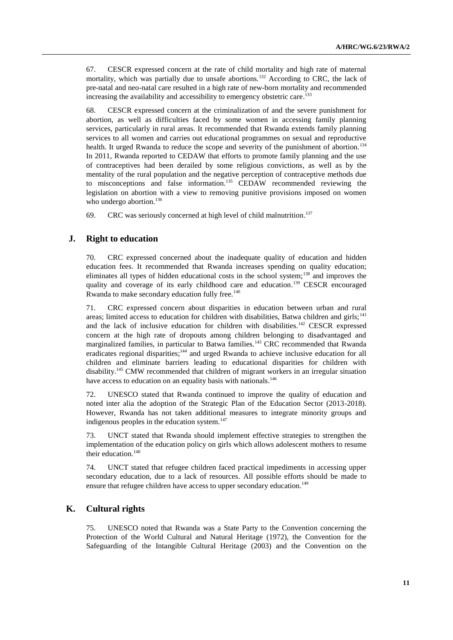67. CESCR expressed concern at the rate of child mortality and high rate of maternal mortality, which was partially due to unsafe abortions.<sup>132</sup> According to CRC, the lack of pre-natal and neo-natal care resulted in a high rate of new-born mortality and recommended increasing the availability and accessibility to emergency obstetric care. 133

68. CESCR expressed concern at the criminalization of and the severe punishment for abortion, as well as difficulties faced by some women in accessing family planning services, particularly in rural areas. It recommended that Rwanda extends family planning services to all women and carries out educational programmes on sexual and reproductive health. It urged Rwanda to reduce the scope and severity of the punishment of abortion.<sup>134</sup> In 2011, Rwanda reported to CEDAW that efforts to promote family planning and the use of contraceptives had been derailed by some religious convictions, as well as by the mentality of the rural population and the negative perception of contraceptive methods due to misconceptions and false information.<sup>135</sup> CEDAW recommended reviewing the legislation on abortion with a view to removing punitive provisions imposed on women who undergo abortion. $136$ 

69. CRC was seriously concerned at high level of child malnutrition.<sup>137</sup>

## **J. Right to education**

70. CRC expressed concerned about the inadequate quality of education and hidden education fees. It recommended that Rwanda increases spending on quality education; eliminates all types of hidden educational costs in the school system;<sup>138</sup> and improves the quality and coverage of its early childhood care and education.<sup>139</sup> CESCR encouraged Rwanda to make secondary education fully free.<sup>140</sup>

71. CRC expressed concern about disparities in education between urban and rural areas; limited access to education for children with disabilities, Batwa children and girls;<sup>141</sup> and the lack of inclusive education for children with disabilities.<sup>142</sup> CESCR expressed concern at the high rate of dropouts among children belonging to disadvantaged and marginalized families, in particular to Batwa families.<sup>143</sup> CRC recommended that Rwanda eradicates regional disparities;<sup>144</sup> and urged Rwanda to achieve inclusive education for all children and eliminate barriers leading to educational disparities for children with disability. <sup>145</sup> CMW recommended that children of migrant workers in an irregular situation have access to education on an equality basis with nationals.<sup>146</sup>

72. UNESCO stated that Rwanda continued to improve the quality of education and noted inter alia the adoption of the Strategic Plan of the Education Sector (2013-2018). However, Rwanda has not taken additional measures to integrate minority groups and indigenous peoples in the education system.<sup>147</sup>

73. UNCT stated that Rwanda should implement effective strategies to strengthen the implementation of the education policy on girls which allows adolescent mothers to resume their education.<sup>148</sup>

74. UNCT stated that refugee children faced practical impediments in accessing upper secondary education, due to a lack of resources. All possible efforts should be made to ensure that refugee children have access to upper secondary education.<sup>149</sup>

#### **K. Cultural rights**

75. UNESCO noted that Rwanda was a State Party to the Convention concerning the Protection of the World Cultural and Natural Heritage (1972), the Convention for the Safeguarding of the Intangible Cultural Heritage (2003) and the Convention on the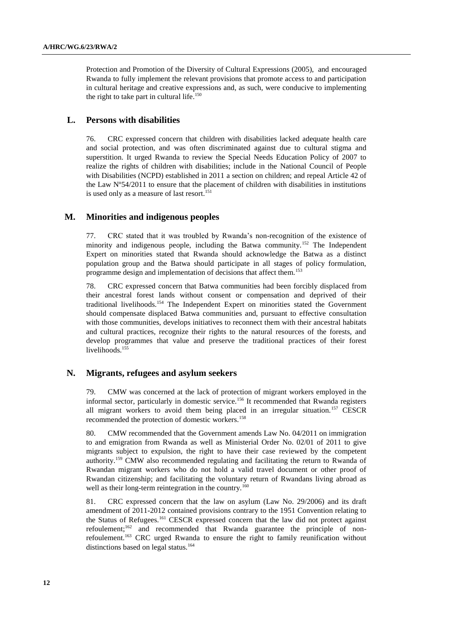Protection and Promotion of the Diversity of Cultural Expressions (2005), and encouraged Rwanda to fully implement the relevant provisions that promote access to and participation in cultural heritage and creative expressions and, as such, were conducive to implementing the right to take part in cultural life.<sup>150</sup>

## **L. Persons with disabilities**

76. CRC expressed concern that children with disabilities lacked adequate health care and social protection, and was often discriminated against due to cultural stigma and superstition. It urged Rwanda to review the Special Needs Education Policy of 2007 to realize the rights of children with disabilities; include in the National Council of People with Disabilities (NCPD) established in 2011 a section on children; and repeal Article 42 of the Law Nº54/2011 to ensure that the placement of children with disabilities in institutions is used only as a measure of last resort.<sup>151</sup>

#### **M. Minorities and indigenous peoples**

77. CRC stated that it was troubled by Rwanda's non-recognition of the existence of minority and indigenous people, including the Batwa community.<sup>152</sup> The Independent Expert on minorities stated that Rwanda should acknowledge the Batwa as a distinct population group and the Batwa should participate in all stages of policy formulation, programme design and implementation of decisions that affect them.<sup>153</sup>

78. CRC expressed concern that Batwa communities had been forcibly displaced from their ancestral forest lands without consent or compensation and deprived of their traditional livelihoods.<sup>154</sup> The Independent Expert on minorities stated the Government should compensate displaced Batwa communities and, pursuant to effective consultation with those communities, develops initiatives to reconnect them with their ancestral habitats and cultural practices, recognize their rights to the natural resources of the forests, and develop programmes that value and preserve the traditional practices of their forest livelihoods.<sup>155</sup>

#### **N. Migrants, refugees and asylum seekers**

79. CMW was concerned at the lack of protection of migrant workers employed in the informal sector, particularly in domestic service.<sup>156</sup> It recommended that Rwanda registers all migrant workers to avoid them being placed in an irregular situation.<sup>157</sup> CESCR recommended the protection of domestic workers.<sup>158</sup>

80. CMW recommended that the Government amends Law No. 04/2011 on immigration to and emigration from Rwanda as well as Ministerial Order No. 02/01 of 2011 to give migrants subject to expulsion, the right to have their case reviewed by the competent authority.<sup>159</sup> CMW also recommended regulating and facilitating the return to Rwanda of Rwandan migrant workers who do not hold a valid travel document or other proof of Rwandan citizenship; and facilitating the voluntary return of Rwandans living abroad as well as their long-term reintegration in the country.<sup>160</sup>

81. CRC expressed concern that the law on asylum (Law No. 29/2006) and its draft amendment of 2011-2012 contained provisions contrary to the 1951 Convention relating to the Status of Refugees.<sup>161</sup> CESCR expressed concern that the law did not protect against refoulement;<sup>162</sup> and recommended that Rwanda guarantee the principle of nonrefoulement.<sup>163</sup> CRC urged Rwanda to ensure the right to family reunification without distinctions based on legal status.<sup>164</sup>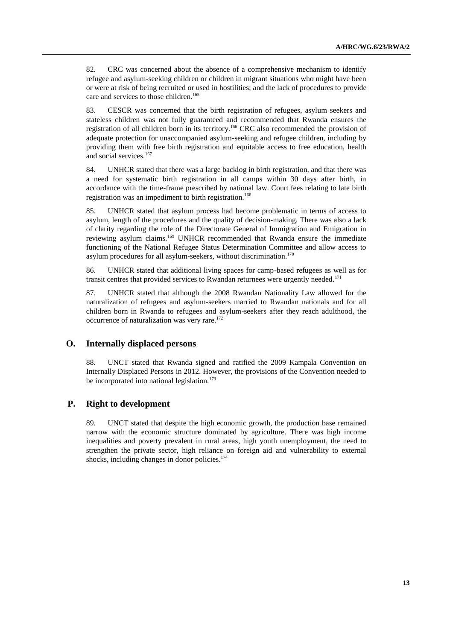82. CRC was concerned about the absence of a comprehensive mechanism to identify refugee and asylum-seeking children or children in migrant situations who might have been or were at risk of being recruited or used in hostilities; and the lack of procedures to provide care and services to those children.<sup>165</sup>

83. CESCR was concerned that the birth registration of refugees, asylum seekers and stateless children was not fully guaranteed and recommended that Rwanda ensures the registration of all children born in its territory.<sup>166</sup> CRC also recommended the provision of adequate protection for unaccompanied asylum-seeking and refugee children, including by providing them with free birth registration and equitable access to free education, health and social services.<sup>167</sup>

84. UNHCR stated that there was a large backlog in birth registration, and that there was a need for systematic birth registration in all camps within 30 days after birth, in accordance with the time-frame prescribed by national law. Court fees relating to late birth registration was an impediment to birth registration.<sup>168</sup>

85. UNHCR stated that asylum process had become problematic in terms of access to asylum, length of the procedures and the quality of decision-making. There was also a lack of clarity regarding the role of the Directorate General of Immigration and Emigration in reviewing asylum claims.<sup>169</sup> UNHCR recommended that Rwanda ensure the immediate functioning of the National Refugee Status Determination Committee and allow access to asylum procedures for all asylum-seekers, without discrimination. 170

86. UNHCR stated that additional living spaces for camp-based refugees as well as for transit centres that provided services to Rwandan returnees were urgently needed.<sup>171</sup>

87. UNHCR stated that although the 2008 Rwandan Nationality Law allowed for the naturalization of refugees and asylum-seekers married to Rwandan nationals and for all children born in Rwanda to refugees and asylum-seekers after they reach adulthood, the occurrence of naturalization was very rare. 172

#### **O. Internally displaced persons**

88. UNCT stated that Rwanda signed and ratified the 2009 Kampala Convention on Internally Displaced Persons in 2012. However, the provisions of the Convention needed to be incorporated into national legislation. $173$ 

## **P. Right to development**

89. UNCT stated that despite the high economic growth, the production base remained narrow with the economic structure dominated by agriculture. There was high income inequalities and poverty prevalent in rural areas, high youth unemployment, the need to strengthen the private sector, high reliance on foreign aid and vulnerability to external shocks, including changes in donor policies.<sup>174</sup>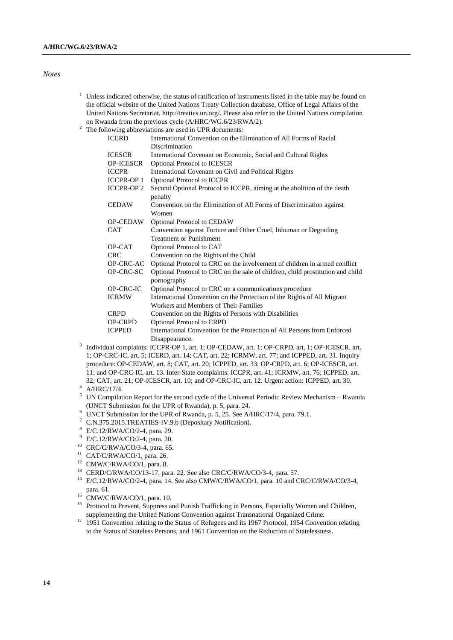#### *Notes*

- $1$  Unless indicated otherwise, the status of ratification of instruments listed in the table may be found on the official website of the United Nations Treaty Collection database, Office of Legal Affairs of the United Nations Secretariat[, http://treaties.un.org/.](http://treaties.un.org/) Please also refer to the United Nations compilation on Rwanda from the previous cycle (A/HRC/WG.6/23/RWA/2).
- <sup>2</sup> The following abbreviations are used in UPR documents:

| <b>ICERD</b>      | International Convention on the Elimination of All Forms of Racial                            |
|-------------------|-----------------------------------------------------------------------------------------------|
|                   | Discrimination                                                                                |
| <b>ICESCR</b>     | International Covenant on Economic, Social and Cultural Rights                                |
| OP-ICESCR         | <b>Optional Protocol to ICESCR</b>                                                            |
| <b>ICCPR</b>      | International Covenant on Civil and Political Rights                                          |
| <b>ICCPR-OP 1</b> | <b>Optional Protocol to ICCPR</b>                                                             |
| <b>ICCPR-OP 2</b> | Second Optional Protocol to ICCPR, aiming at the abolition of the death<br>penalty            |
| <b>CEDAW</b>      | Convention on the Elimination of All Forms of Discrimination against<br>Women                 |
| <b>OP-CEDAW</b>   | Optional Protocol to CEDAW                                                                    |
| <b>CAT</b>        | Convention against Torture and Other Cruel, Inhuman or Degrading                              |
|                   | <b>Treatment or Punishment</b>                                                                |
| OP-CAT            | Optional Protocol to CAT                                                                      |
| <b>CRC</b>        | Convention on the Rights of the Child                                                         |
| OP-CRC-AC         | Optional Protocol to CRC on the involvement of children in armed conflict                     |
| OP-CRC-SC         | Optional Protocol to CRC on the sale of children, child prostitution and child<br>pornography |
| OP-CRC-IC         | Optional Protocol to CRC on a communications procedure                                        |
| <b>ICRMW</b>      | International Convention on the Protection of the Rights of All Migrant                       |
|                   | Workers and Members of Their Families                                                         |
| <b>CRPD</b>       | Convention on the Rights of Persons with Disabilities                                         |
| <b>OP-CRPD</b>    | <b>Optional Protocol to CRPD</b>                                                              |
| <b>ICPPED</b>     | International Convention for the Protection of All Persons from Enforced                      |
|                   | Disappearance.                                                                                |
|                   |                                                                                               |

- <sup>3</sup> Individual complaints: ICCPR-OP 1, art. 1; OP-CEDAW, art. 1; OP-CRPD, art. 1; OP-ICESCR, art. 1; OP-CRC-IC, art. 5; ICERD, art. 14; CAT, art. 22; ICRMW, art. 77; and ICPPED, art. 31. Inquiry procedure: OP-CEDAW, art. 8; CAT, art. 20; ICPPED, art. 33; OP-CRPD, art. 6; OP-ICESCR, art. 11; and OP-CRC-IC, art. 13. Inter-State complaints: ICCPR, art. 41; ICRMW, art. 76; ICPPED, art. 32; CAT, art. 21; OP-ICESCR, art. 10; and OP-CRC-IC, art. 12. Urgent action: ICPPED, art. 30.
- A/HRC/17/4.
- <sup>5</sup> UN Compilation Report for the second cycle of the Universal Periodic Review Mechanism Rwanda (UNCT Submission for the UPR of Rwanda), p. 5, para. 24.
- <sup>6</sup> UNCT Submission for the UPR of Rwanda, p. 5, 25. See A/HRC/17/4, para. 79.1.
- <sup>7</sup> C.N.375.2015.TREATIES-IV.9.b (Depositary Notification).
- <sup>8</sup> E/C.12/RWA/CO/2-4, para. 29.
- <sup>9</sup> E/C.12/RWA/CO/2-4, para. 30.
- <sup>10</sup> CRC/C/RWA/CO/3-4, para. 65.
- <sup>11</sup> CAT/C/RWA/CO/1, para. 26.
- <sup>12</sup> CMW/C/RWA/CO/1, para. 8.
- <sup>13</sup> CERD/C/RWA/CO/13-17, para. 22. See also CRC/C/RWA/CO/3-4, para. 57.
- <sup>14</sup> E/C.12/RWA/CO/2-4, para. 14. See also CMW/C/RWA/CO/1, para. 10 and CRC/C/RWA/CO/3-4, para. 61.
- $^{15}$  CMW/C/RWA/CO/1, para. 10.
- <sup>16</sup> Protocol to Prevent, Suppress and Punish Trafficking in Persons, Especially Women and Children, supplementing the United Nations Convention against Transnational Organized Crime.
- <sup>17</sup> 1951 Convention relating to the Status of Refugees and its 1967 Protocol, 1954 Convention relating to the Status of Stateless Persons, and 1961 Convention on the Reduction of Statelessness.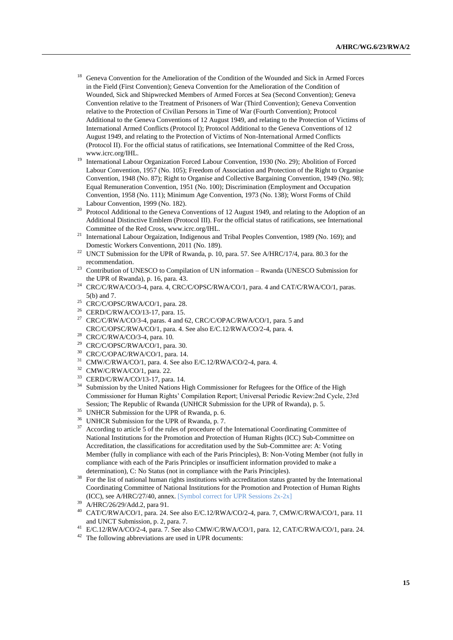- <sup>18</sup> Geneva Convention for the Amelioration of the Condition of the Wounded and Sick in Armed Forces in the Field (First Convention); Geneva Convention for the Amelioration of the Condition of Wounded, Sick and Shipwrecked Members of Armed Forces at Sea (Second Convention); Geneva Convention relative to the Treatment of Prisoners of War (Third Convention); Geneva Convention relative to the Protection of Civilian Persons in Time of War (Fourth Convention); Protocol Additional to the Geneva Conventions of 12 August 1949, and relating to the Protection of Victims of International Armed Conflicts (Protocol I); Protocol Additional to the Geneva Conventions of 12 August 1949, and relating to the Protection of Victims of Non-International Armed Conflicts (Protocol II). For the official status of ratifications, see International Committee of the Red Cross, www.icrc.org/IHL.
- <sup>19</sup> International Labour Organization Forced Labour Convention, 1930 (No. 29); Abolition of Forced Labour Convention, 1957 (No. 105); Freedom of Association and Protection of the Right to Organise Convention, 1948 (No. 87); Right to Organise and Collective Bargaining Convention, 1949 (No. 98); Equal Remuneration Convention, 1951 (No. 100); Discrimination (Employment and Occupation Convention, 1958 (No. 111); Minimum Age Convention, 1973 (No. 138); Worst Forms of Child Labour Convention, 1999 (No. 182).
- <sup>20</sup> Protocol Additional to the Geneva Conventions of 12 August 1949, and relating to the Adoption of an Additional Distinctive Emblem (Protocol III). For the official status of ratifications, see International Committee of the Red Cross, www.icrc.org/IHL.
- <sup>21</sup> International Labour Orgaization, Indigenous and Tribal Peoples Convention, 1989 (No. 169); and Domestic Workers Conventionn, 2011 (No. 189).
- <sup>22</sup> UNCT Submission for the UPR of Rwanda, p. 10, para. 57. See A/HRC/17/4, para. 80.3 for the recommendation.
- <sup>23</sup> Contribution of UNESCO to Compilation of UN information Rwanda (UNESCO Submission for the UPR of Rwanda), p. 16, para. 43.
- <sup>24</sup> CRC/C/RWA/CO/3-4, para. 4, CRC/C/OPSC/RWA/CO/1, para. 4 and CAT/C/RWA/CO/1, paras. 5(b) and 7.
- <sup>25</sup> CRC/C/OPSC/RWA/CO/1, para. 28.
- <sup>26</sup> CERD/C/RWA/CO/13-17, para. 15.<br><sup>27</sup> CRC/C/DWA/CO/2.4, paras. 4 and t
- <sup>27</sup> CRC/C/RWA/CO/3-4, paras. 4 and 62, CRC/C/OPAC/RWA/CO/1, para. 5 and CRC/C/OPSC/RWA/CO/1, para. 4. See also E/C.12/RWA/CO/2-4, para. 4.
- <sup>28</sup> CRC/C/RWA/CO/3-4, para. 10.
- <sup>29</sup> CRC/C/OPSC/RWA/CO/1, para. 30.
- <sup>30</sup> CRC/C/OPAC/RWA/CO/1, para. 14.
- <sup>31</sup> CMW/C/RWA/CO/1, para. 4. See also E/C.12/RWA/CO/2-4, para. 4.
- <sup>32</sup> CMW/C/RWA/CO/1, para. 22.
- <sup>33</sup> CERD/C/RWA/CO/13-17, para. 14.
- <sup>34</sup> Submission by the United Nations High Commissioner for Refugees for the Office of the High Commissioner for Human Rights' Compilation Report; Universal Periodic Review:2nd Cycle, 23rd Session; The Republic of Rwanda (UNHCR Submission for the UPR of Rwanda), p. 5.
- <sup>35</sup> UNHCR Submission for the UPR of Rwanda, p. 6.
- <sup>36</sup> UNHCR Submission for the UPR of Rwanda, p. 7.
- <sup>37</sup> According to article 5 of the rules of procedure of the International Coordinating Committee of National Institutions for the Promotion and Protection of Human Rights (ICC) Sub-Committee on Accreditation, the classifications for accreditation used by the Sub-Committee are: A: Voting Member (fully in compliance with each of the Paris Principles), B: Non-Voting Member (not fully in compliance with each of the Paris Principles or insufficient information provided to make a determination), C: No Status (not in compliance with the Paris Principles).
- <sup>38</sup> For the list of national human rights institutions with accreditation status granted by the International Coordinating Committee of National Institutions for the Promotion and Protection of Human Rights (ICC), see A/HRC/27/40, annex. [Symbol correct for UPR Sessions 2x-2x]
- A/HRC/26/29/Add.2, para 91.
- <sup>40</sup> CAT/C/RWA/CO/1, para. 24. See also E/C.12/RWA/CO/2-4, para. 7, CMW/C/RWA/CO/1, para. 11 and UNCT Submission, p. 2, para. 7.
- E/C.12/RWA/CO/2-4, para. 7. See also CMW/C/RWA/CO/1, para. 12, CAT/C/RWA/CO/1, para. 24. <sup>42</sup> The following abbreviations are used in UPR documents:
-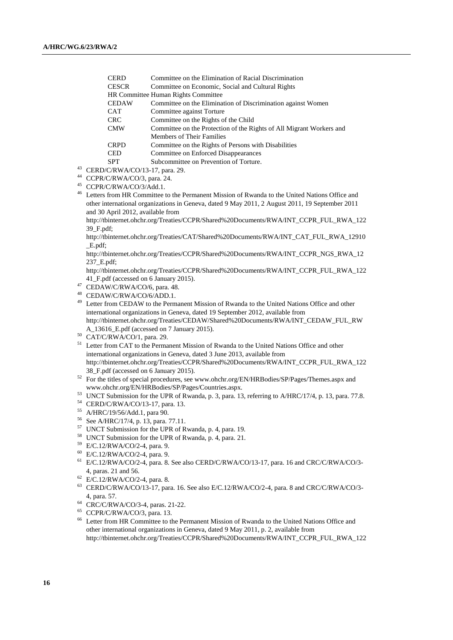| <b>CERD</b>                                | Committee on the Elimination of Racial Discrimination                |  |
|--------------------------------------------|----------------------------------------------------------------------|--|
| <b>CESCR</b>                               | Committee on Economic, Social and Cultural Rights                    |  |
| <b>HR Committee Human Rights Committee</b> |                                                                      |  |
| <b>CEDAW</b>                               | Committee on the Elimination of Discrimination against Women         |  |
| <b>CAT</b>                                 | Committee against Torture                                            |  |
| <b>CRC</b>                                 | Committee on the Rights of the Child                                 |  |
| <b>CMW</b>                                 | Committee on the Protection of the Rights of All Migrant Workers and |  |
|                                            | Members of Their Families                                            |  |
| <b>CRPD</b>                                | Committee on the Rights of Persons with Disabilities                 |  |
| <b>CED</b>                                 | Committee on Enforced Disappearances                                 |  |
| <b>SPT</b>                                 | Subcommittee on Prevention of Torture.                               |  |
| /C/RWA/CO/13-17. para. 29.                 |                                                                      |  |

- $43$  CERD <sup>44</sup> CCPR/C/RWA/CO/3, para. 24.
- 
- $^{45}$  CCPR/C/RWA/CO/3/Add.1.

<sup>46</sup> Letters from HR Committee to the Permanent Mission of Rwanda to the United Nations Office and other international organizations in Geneva, dated 9 May 2011, 2 August 2011, 19 September 2011 and 30 April 2012, available from

[http://tbinternet.ohchr.org/Treaties/CCPR/Shared%20Documents/RWA/INT\\_CCPR\\_FUL\\_RWA\\_122](http://tbinternet.ohchr.org/Treaties/CCPR/Shared%20Documents/RWA/INT_CCPR_FUL_RWA_12239_F.pdf) [39\\_F.pdf;](http://tbinternet.ohchr.org/Treaties/CCPR/Shared%20Documents/RWA/INT_CCPR_FUL_RWA_12239_F.pdf)

[http://tbinternet.ohchr.org/Treaties/CAT/Shared%20Documents/RWA/INT\\_CAT\\_FUL\\_RWA\\_12910](http://tbinternet.ohchr.org/Treaties/CAT/Shared%20Documents/RWA/INT_CAT_FUL_RWA_12910_E.pdf) [\\_E.pdf;](http://tbinternet.ohchr.org/Treaties/CAT/Shared%20Documents/RWA/INT_CAT_FUL_RWA_12910_E.pdf)

[http://tbinternet.ohchr.org/Treaties/CCPR/Shared%20Documents/RWA/INT\\_CCPR\\_NGS\\_RWA\\_12](http://tbinternet.ohchr.org/Treaties/CCPR/Shared%20Documents/RWA/INT_CCPR_NGS_RWA_12237_E.pdf) [237\\_E.pdf;](http://tbinternet.ohchr.org/Treaties/CCPR/Shared%20Documents/RWA/INT_CCPR_NGS_RWA_12237_E.pdf)

http://tbinternet.ohchr.org/Treaties/CCPR/Shared%20Documents/RWA/INT\_CCPR\_FUL\_RWA\_122 41\_F.pdf (accessed on 6 January 2015).

- <sup>47</sup> CEDAW/C/RWA/CO/6, para. 48.
- <sup>48</sup> CEDAW/C/RWA/CO/6/ADD.1.
- <sup>49</sup> Letter from CEDAW to the Permanent Mission of Rwanda to the United Nations Office and other international organizations in Geneva, dated 19 September 2012, available from http://tbinternet.ohchr.org/Treaties/CEDAW/Shared%20Documents/RWA/INT\_CEDAW\_FUL\_RW A\_13616\_E.pdf (accessed on 7 January 2015).
- <sup>50</sup> CAT/C/RWA/CO/1, para. 29.
- <sup>51</sup> Letter from CAT to the Permanent Mission of Rwanda to the United Nations Office and other international organizations in Geneva, dated 3 June 2013, available from http://tbinternet.ohchr.org/Treaties/CCPR/Shared%20Documents/RWA/INT\_CCPR\_FUL\_RWA\_122 38\_F.pdf (accessed on 6 January 2015).
- <sup>52</sup> For the titles of special procedures, see www.ohchr.org/EN/HRBodies/SP/Pages/Themes.aspx and www.ohchr.org/EN/HRBodies/SP/Pages/Countries.aspx.
- <sup>53</sup> UNCT Submission for the UPR of Rwanda, p. 3, para. 13, referring to A/HRC/17/4, p. 13, para. 77.8.
- <sup>54</sup> CERD/C/RWA/CO/13-17, para. 13.
- <sup>55</sup> A/HRC/19/56/Add.1, para 90.
- <sup>56</sup> See A/HRC/17/4, p. 13, para. 77.11.
- <sup>57</sup> UNCT Submission for the UPR of Rwanda, p. 4, para. 19.
- <sup>58</sup> UNCT Submission for the UPR of Rwanda, p. 4, para. 21.
- <sup>59</sup> E/C.12/RWA/CO/2-4, para. 9.
- <sup>60</sup> E/C.12/RWA/CO/2-4, para. 9.
- <sup>61</sup> E/C.12/RWA/CO/2-4, para. 8. See also CERD/C/RWA/CO/13-17, para. 16 and CRC/C/RWA/CO/3- 4, paras. 21 and 56.
- <sup>62</sup> E/C.12/RWA/CO/2-4, para. 8.
- <sup>63</sup> CERD/C/RWA/CO/13-17, para. 16. See also E/C.12/RWA/CO/2-4, para. 8 and CRC/C/RWA/CO/3- 4, para. 57.
- <sup>64</sup> CRC/C/RWA/CO/3-4, paras. 21-22.
- $^{65}$  CCPR/C/RWA/CO/3, para. 13.
- Letter from HR Committee to the Permanent Mission of Rwanda to the United Nations Office and other international organizations in Geneva, dated 9 May 2011, p. 2, available from [http://tbinternet.ohchr.org/Treaties/CCPR/Shared%20Documents/RWA/INT\\_CCPR\\_FUL\\_RWA\\_122](http://tbinternet.ohchr.org/Treaties/CCPR/Shared%20Documents/RWA/INT_CCPR_FUL_RWA_12239_F.pdf)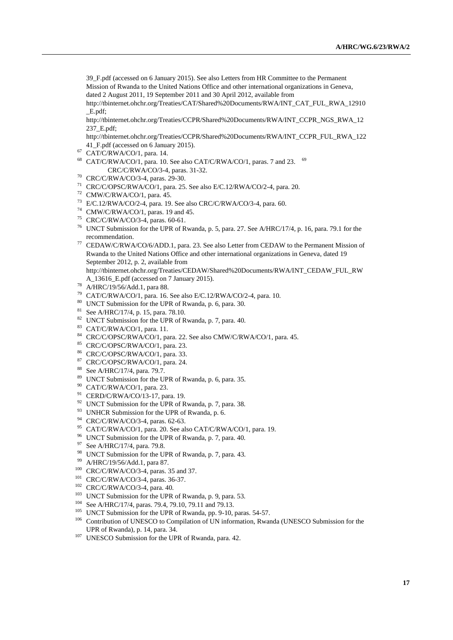[39\\_F.pdf](http://tbinternet.ohchr.org/Treaties/CCPR/Shared%20Documents/RWA/INT_CCPR_FUL_RWA_12239_F.pdf) (accessed on 6 January 2015). See also Letters from HR Committee to the Permanent Mission of Rwanda to the United Nations Office and other international organizations in Geneva, dated 2 August 2011, 19 September 2011 and 30 April 2012, available from

[http://tbinternet.ohchr.org/Treaties/CAT/Shared%20Documents/RWA/INT\\_CAT\\_FUL\\_RWA\\_12910](http://tbinternet.ohchr.org/Treaties/CAT/Shared%20Documents/RWA/INT_CAT_FUL_RWA_12910_E.pdf) [\\_E.pdf;](http://tbinternet.ohchr.org/Treaties/CAT/Shared%20Documents/RWA/INT_CAT_FUL_RWA_12910_E.pdf)

[http://tbinternet.ohchr.org/Treaties/CCPR/Shared%20Documents/RWA/INT\\_CCPR\\_NGS\\_RWA\\_12](http://tbinternet.ohchr.org/Treaties/CCPR/Shared%20Documents/RWA/INT_CCPR_NGS_RWA_12237_E.pdf) [237\\_E.pdf;](http://tbinternet.ohchr.org/Treaties/CCPR/Shared%20Documents/RWA/INT_CCPR_NGS_RWA_12237_E.pdf)

http://tbinternet.ohchr.org/Treaties/CCPR/Shared%20Documents/RWA/INT\_CCPR\_FUL\_RWA\_122 41\_F.pdf (accessed on 6 January 2015).

- CAT/C/RWA/CO/1, para. 14.
- CAT/C/RWA/CO/1, para. 10. See also CAT/C/RWA/CO/1, paras. 7 and 23.  $69$ CRC/C/RWA/CO/3-4, paras. 31-32.
- CRC/C/RWA/CO/3-4, paras. 29-30.
- CRC/C/OPSC/RWA/CO/1, para. 25. See also E/C.12/RWA/CO/2-4, para. 20.
- CMW/C/RWA/CO/1, para. 45.
- E/C.12/RWA/CO/2-4, para. 19. See also CRC/C/RWA/CO/3-4, para. 60.
- CMW/C/RWA/CO/1, paras. 19 and 45.
- CRC/C/RWA/CO/3-4, paras. 60-61.
- UNCT Submission for the UPR of Rwanda, p. 5, para. 27. See A/HRC/17/4, p. 16, para. 79.1 for the recommendation.
- CEDAW/C/RWA/CO/6/ADD.1, para. 23. See also Letter from CEDAW to the Permanent Mission of Rwanda to the United Nations Office and other international organizations in Geneva, dated 19 September 2012, p. 2, available from http://tbinternet.ohchr.org/Treaties/CEDAW/Shared%20Documents/RWA/INT\_CEDAW\_FUL\_RW
- A\_13616\_E.pdf (accessed on 7 January 2015).
- A/HRC/19/56/Add.1, para 88.
- CAT/C/RWA/CO/1, para. 16. See also E/C.12/RWA/CO/2-4, para. 10.
- UNCT Submission for the UPR of Rwanda, p. 6, para. 30.
- See A/HRC/17/4, p. 15, para. 78.10.
- UNCT Submission for the UPR of Rwanda, p. 7, para. 40.
- CAT/C/RWA/CO/1, para. 11.
- CRC/C/OPSC/RWA/CO/1, para. 22. See also CMW/C/RWA/CO/1, para. 45.
- CRC/C/OPSC/RWA/CO/1, para. 23.
- CRC/C/OPSC/RWA/CO/1, para. 33.
- CRC/C/OPSC/RWA/CO/1, para. 24.
- See A/HRC/17/4, para. 79.7.
- UNCT Submission for the UPR of Rwanda, p. 6, para. 35.
- CAT/C/RWA/CO/1, para. 23.
- CERD/C/RWA/CO/13-17, para. 19.
- <sup>92</sup> UNCT Submission for the UPR of Rwanda, p. 7, para. 38.
- <sup>93</sup> UNHCR Submission for the UPR of Rwanda, p. 6.
- CRC/C/RWA/CO/3-4, paras. 62-63.
- CAT/C/RWA/CO/1, para. 20. See also CAT/C/RWA/CO/1, para. 19.
- UNCT Submission for the UPR of Rwanda, p. 7, para. 40.
- See A/HRC/17/4, para. 79.8.
- UNCT Submission for the UPR of Rwanda, p. 7, para. 43.
- A/HRC/19/56/Add.1, para 87.
- CRC/C/RWA/CO/3-4, paras. 35 and 37.
- CRC/C/RWA/CO/3-4, paras. 36-37.
- CRC/C/RWA/CO/3-4, para. 40.
- <sup>103</sup> UNCT Submission for the UPR of Rwanda, p. 9, para. 53.
- See A/HRC/17/4, paras. 79.4, 79.10, 79.11 and 79.13.
- <sup>105</sup> UNCT Submission for the UPR of Rwanda, pp. 9-10, paras. 54-57.
- <sup>106</sup> Contribution of UNESCO to Compilation of UN information, Rwanda (UNESCO Submission for the UPR of Rwanda), p. 14, para. 34.
- <sup>107</sup> UNESCO Submission for the UPR of Rwanda, para. 42.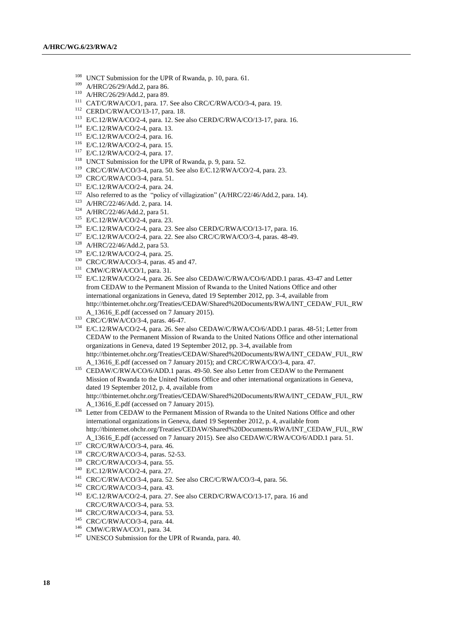- UNCT Submission for the UPR of Rwanda, p. 10, para. 61.
- A/HRC/26/29/Add.2, para 86.
- A/HRC/26/29/Add.2, para 89.
- CAT/C/RWA/CO/1, para. 17. See also CRC/C/RWA/CO/3-4, para. 19.
- CERD/C/RWA/CO/13-17, para. 18.
- E/C.12/RWA/CO/2-4, para. 12. See also CERD/C/RWA/CO/13-17, para. 16.
- E/C.12/RWA/CO/2-4, para. 13.
- E/C.12/RWA/CO/2-4, para. 16.
- E/C.12/RWA/CO/2-4, para. 15.
- E/C.12/RWA/CO/2-4, para. 17.
- UNCT Submission for the UPR of Rwanda, p. 9, para. 52.
- CRC/C/RWA/CO/3-4, para. 50. See also E/C.12/RWA/CO/2-4, para. 23.
- CRC/C/RWA/CO/3-4, para. 51.
- E/C.12/RWA/CO/2-4, para. 24.
- <sup>122</sup> Also referred to as the "policy of villagization" (A/HRC/22/46/Add.2, para. 14).
- A/HRC/22/46/Add. 2, para. 14.
- A/HRC/22/46/Add.2, para 51.
- E/C.12/RWA/CO/2-4, para. 23.
- E/C.12/RWA/CO/2-4, para. 23. See also CERD/C/RWA/CO/13-17, para. 16.
- E/C.12/RWA/CO/2-4, para. 22. See also CRC/C/RWA/CO/3-4, paras. 48-49.
- A/HRC/22/46/Add.2, para 53.
- E/C.12/RWA/CO/2-4, para. 25.
- CRC/C/RWA/CO/3-4, paras. 45 and 47.
- CMW/C/RWA/CO/1, para. 31.
- <sup>132</sup> E/C.12/RWA/CO/2-4, para. 26. See also CEDAW/C/RWA/CO/6/ADD.1 paras. 43-47 and Letter from CEDAW to the Permanent Mission of Rwanda to the United Nations Office and other international organizations in Geneva, dated 19 September 2012, pp. 3-4, available from http://tbinternet.ohchr.org/Treaties/CEDAW/Shared%20Documents/RWA/INT\_CEDAW\_FUL\_RW A\_13616\_E.pdf (accessed on 7 January 2015).
- CRC/C/RWA/CO/3-4, paras. 46-47.
- E/C.12/RWA/CO/2-4, para. 26. See also CEDAW/C/RWA/CO/6/ADD.1 paras. 48-51; Letter from CEDAW to the Permanent Mission of Rwanda to the United Nations Office and other international organizations in Geneva, dated 19 September 2012, pp. 3-4, available from http://tbinternet.ohchr.org/Treaties/CEDAW/Shared%20Documents/RWA/INT\_CEDAW\_FUL\_RW A\_13616\_E.pdf (accessed on 7 January 2015); and CRC/C/RWA/CO/3-4, para. 47.
- 135 CEDAW/C/RWA/CO/6/ADD.1 paras. 49-50. See also Letter from CEDAW to the Permanent Mission of Rwanda to the United Nations Office and other international organizations in Geneva, dated 19 September 2012, p. 4, available from http://tbinternet.ohchr.org/Treaties/CEDAW/Shared%20Documents/RWA/INT\_CEDAW\_FUL\_RW A\_13616\_E.pdf (accessed on 7 January 2015).
- <sup>136</sup> Letter from CEDAW to the Permanent Mission of Rwanda to the United Nations Office and other international organizations in Geneva, dated 19 September 2012, p. 4, available from http://tbinternet.ohchr.org/Treaties/CEDAW/Shared%20Documents/RWA/INT\_CEDAW\_FUL\_RW A\_13616\_E.pdf (accessed on 7 January 2015). See also CEDAW/C/RWA/CO/6/ADD.1 para. 51.
- <sup>137</sup> CRC/C/RWA/CO/3-4, para. 46.
- CRC/C/RWA/CO/3-4, paras. 52-53.
- CRC/C/RWA/CO/3-4, para. 55.
- E/C.12/RWA/CO/2-4, para. 27.
- CRC/C/RWA/CO/3-4, para. 52. See also CRC/C/RWA/CO/3-4, para. 56.
- CRC/C/RWA/CO/3-4, para. 43.
- E/C.12/RWA/CO/2-4, para. 27. See also CERD/C/RWA/CO/13-17, para. 16 and CRC/C/RWA/CO/3-4, para. 53.
- CRC/C/RWA/CO/3-4, para. 53.
- CRC/C/RWA/CO/3-4, para. 44.
- CMW/C/RWA/CO/1, para. 34.
- <sup>147</sup> UNESCO Submission for the UPR of Rwanda, para. 40.